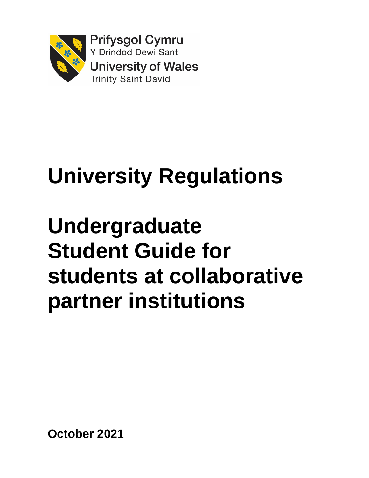

# **University Regulations**

# **Undergraduate Student Guide for students at collaborative partner institutions**

**October 2021**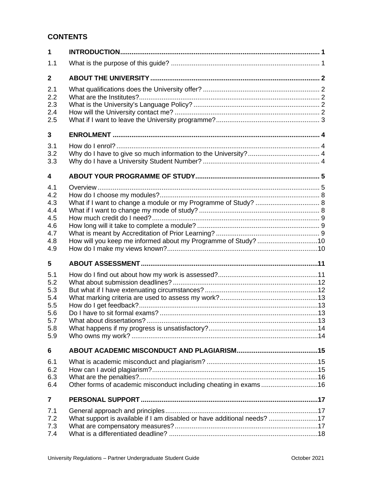# **CONTENTS**

| $\mathbf{1}$                                                |                                                                         |  |
|-------------------------------------------------------------|-------------------------------------------------------------------------|--|
| 1.1                                                         |                                                                         |  |
| $\mathbf{2}$                                                |                                                                         |  |
| 2.1<br>2.2<br>2.3<br>2.4<br>2.5                             |                                                                         |  |
| 3                                                           |                                                                         |  |
| 3.1<br>3.2<br>3.3                                           |                                                                         |  |
| 4                                                           |                                                                         |  |
| 4.1<br>4.2<br>4.3<br>4.4<br>4.5<br>4.6<br>4.7<br>4.8<br>4.9 | How will you keep me informed about my Programme of Study? 10           |  |
| 5                                                           |                                                                         |  |
| 5.1<br>5.2<br>5.3<br>5.4<br>5.5<br>5.6<br>5.7<br>5.8<br>5.9 |                                                                         |  |
| 6                                                           |                                                                         |  |
| 6.1<br>6.2<br>6.3<br>6.4                                    | Other forms of academic misconduct including cheating in exams16        |  |
| $\overline{7}$                                              |                                                                         |  |
| 7.1<br>7.2<br>7.3<br>7.4                                    | What support is available if I am disabled or have additional needs? 17 |  |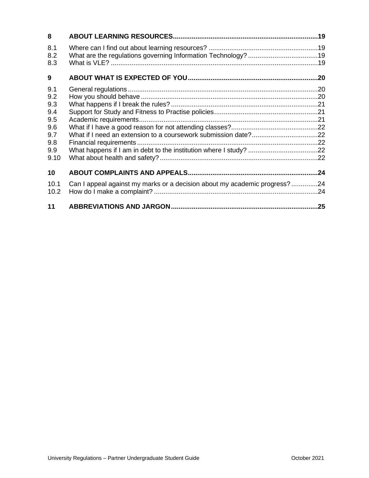| 8                 |                                                                           |  |
|-------------------|---------------------------------------------------------------------------|--|
| 8.1<br>8.2<br>8.3 |                                                                           |  |
| 9                 |                                                                           |  |
| 9.1               |                                                                           |  |
| 9.2               |                                                                           |  |
| 9.3               |                                                                           |  |
| 9.4<br>9.5        |                                                                           |  |
| 9.6               |                                                                           |  |
| 9.7               |                                                                           |  |
| 9.8               |                                                                           |  |
| 9.9               |                                                                           |  |
| 9.10              |                                                                           |  |
| 10                |                                                                           |  |
| 10.1              | Can I appeal against my marks or a decision about my academic progress?24 |  |
| 10.2              |                                                                           |  |
| 11                |                                                                           |  |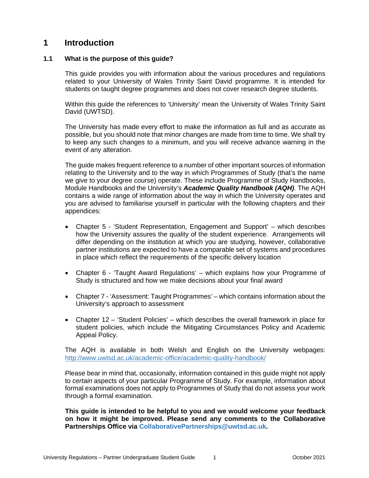# <span id="page-3-0"></span>**1 Introduction**

## <span id="page-3-1"></span>**1.1 What is the purpose of this guide?**

This guide provides you with information about the various procedures and regulations related to your University of Wales Trinity Saint David programme. It is intended for students on taught degree programmes and does not cover research degree students.

Within this guide the references to 'University' mean the University of Wales Trinity Saint David (UWTSD).

The University has made every effort to make the information as full and as accurate as possible, but you should note that minor changes are made from time to time. We shall try to keep any such changes to a minimum, and you will receive advance warning in the event of any alteration.

The guide makes frequent reference to a number of other important sources of information relating to the University and to the way in which Programmes of Study (that's the name we give to your degree course) operate. These include Programme of Study Handbooks, Module Handbooks and the University's *Academic Quality Handbook (AQH)*. The AQH contains a wide range of information about the way in which the University operates and you are advised to familiarise yourself in particular with the following chapters and their appendices:

- Chapter 5 'Student Representation, Engagement and Support' which describes how the University assures the quality of the student experience. Arrangements will differ depending on the institution at which you are studying, however, collaborative partner institutions are expected to have a comparable set of systems and procedures in place which reflect the requirements of the specific delivery location
- Chapter 6 'Taught Award Regulations' which explains how your Programme of Study is structured and how we make decisions about your final award
- Chapter 7 'Assessment: Taught Programmes' which contains information about the University's approach to assessment
- Chapter 12 'Student Policies' which describes the overall framework in place for student policies, which include the Mitigating Circumstances Policy and Academic Appeal Policy.

The AQH is available in both Welsh and English on the University webpages: <http://www.uwtsd.ac.uk/academic-office/academic-quality-handbook/>

Please bear in mind that, occasionally, information contained in this guide might not apply to *certain* aspects of your particular Programme of Study. For example, information about formal examinations does not apply to Programmes of Study that do not assess your work through a formal examination.

**This guide is intended to be helpful to you and we would welcome your feedback on how it might be improved. Please send any comments to the Collaborative Partnerships Office via CollaborativePartnerships@uwtsd.ac.uk.**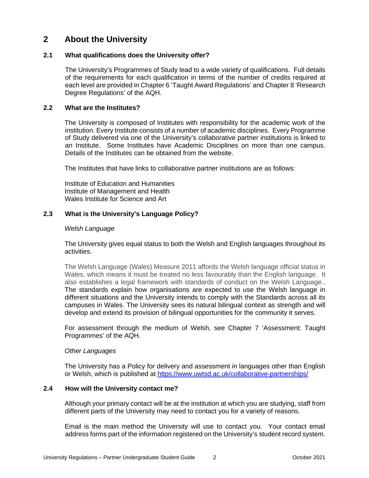# <span id="page-4-0"></span>**2 About the University**

## <span id="page-4-1"></span>**2.1 What qualifications does the University offer?**

The University's Programmes of Study lead to a wide variety of qualifications. Full details of the requirements for each qualification in terms of the number of credits required at each level are provided in Chapter 6 'Taught Award Regulations' and Chapter 8 'Research Degree Regulations' of the AQH.

## <span id="page-4-2"></span>**2.2 What are the Institutes?**

The University is composed of Institutes with responsibility for the academic work of the institution. Every Institute consists of a number of academic disciplines. Every Programme of Study delivered via one of the University's collaborative partner institutions is linked to an Institute. Some Institutes have Academic Disciplines on more than one campus. Details of the Institutes can be obtained from the website.

The Institutes that have links to collaborative partner institutions are as follows:

Institute of Education and Humanities Institute of Management and Health Wales Institute for Science and Art

# <span id="page-4-3"></span>**2.3 What is the University's Language Policy?**

#### *Welsh Language*

The University gives equal status to both the Welsh and English languages throughout its activities.

The Welsh Language (Wales) Measure 2011 affords the Welsh language official status in Wales, which means it must be treated no less favourably than the English language. It also establishes a legal framework with standards of conduct on the Welsh Language.. The standards explain how organisations are expected to use the Welsh language in different situations and the University intends to comply with the Standards across all its campuses in Wales. The University sees its natural bilingual context as strength and will develop and extend its provision of bilingual opportunities for the community it serves.

For assessment through the medium of Welsh, see Chapter 7 'Assessment: Taught Programmes' of the AQH.

#### *Other Languages*

<span id="page-4-4"></span>The University has a Policy for delivery and assessment in languages other than English or Welsh, which is published at<https://www.uwtsd.ac.uk/collaborative-partnerships/>

# **2.4 How will the University contact me?**

Although your primary contact will be at the institution at which you are studying, staff from different parts of the University may need to contact you for a variety of reasons.

Email is the main method the University will use to contact you. Your contact email address forms part of the information registered on the University's student record system.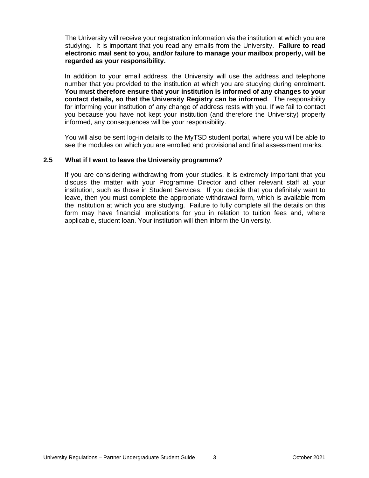The University will receive your registration information via the institution at which you are studying. It is important that you read any emails from the University. **Failure to read electronic mail sent to you, and/or failure to manage your mailbox properly, will be regarded as your responsibility.**

In addition to your email address, the University will use the address and telephone number that you provided to the institution at which you are studying during enrolment. **You must therefore ensure that your institution is informed of any changes to your contact details, so that the University Registry can be informed**. The responsibility for informing your institution of any change of address rests with you. If we fail to contact you because you have not kept your institution (and therefore the University) properly informed, any consequences will be your responsibility.

<span id="page-5-0"></span>You will also be sent log-in details to the MyTSD student portal, where you will be able to see the modules on which you are enrolled and provisional and final assessment marks.

#### **2.5 What if I want to leave the University programme?**

If you are considering withdrawing from your studies, it is extremely important that you discuss the matter with your Programme Director and other relevant staff at your institution, such as those in Student Services. If you decide that you definitely want to leave, then you must complete the appropriate withdrawal form, which is available from the institution at which you are studying. Failure to fully complete all the details on this form may have financial implications for you in relation to tuition fees and, where applicable, student loan. Your institution will then inform the University.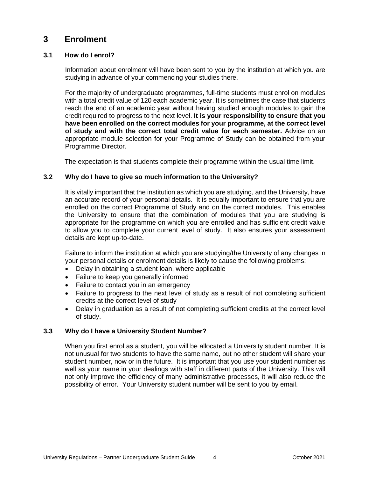# <span id="page-6-0"></span>**3 Enrolment**

# <span id="page-6-1"></span>**3.1 How do I enrol?**

Information about enrolment will have been sent to you by the institution at which you are studying in advance of your commencing your studies there.

For the majority of undergraduate programmes, full-time students must enrol on modules with a total credit value of 120 each academic year. It is sometimes the case that students reach the end of an academic year without having studied enough modules to gain the credit required to progress to the next level. **It is your responsibility to ensure that you have been enrolled on the correct modules for your programme, at the correct level of study and with the correct total credit value for each semester.** Advice on an appropriate module selection for your Programme of Study can be obtained from your Programme Director.

The expectation is that students complete their programme within the usual time limit.

# <span id="page-6-2"></span>**3.2 Why do I have to give so much information to the University?**

It is vitally important that the institution as which you are studying, and the University, have an accurate record of your personal details. It is equally important to ensure that you are enrolled on the correct Programme of Study and on the correct modules. This enables the University to ensure that the combination of modules that you are studying is appropriate for the programme on which you are enrolled and has sufficient credit value to allow you to complete your current level of study. It also ensures your assessment details are kept up-to-date.

Failure to inform the institution at which you are studying/the University of any changes in your personal details or enrolment details is likely to cause the following problems:

- Delay in obtaining a student loan, where applicable
- Failure to keep you generally informed
- Failure to contact you in an emergency
- Failure to progress to the next level of study as a result of not completing sufficient credits at the correct level of study
- Delay in graduation as a result of not completing sufficient credits at the correct level of study.

# <span id="page-6-3"></span>**3.3 Why do I have a University Student Number?**

When you first enrol as a student, you will be allocated a University student number. It is not unusual for two students to have the same name, but no other student will share your student number, now or in the future. It is important that you use your student number as well as your name in your dealings with staff in different parts of the University. This will not only improve the efficiency of many administrative processes, it will also reduce the possibility of error. Your University student number will be sent to you by email.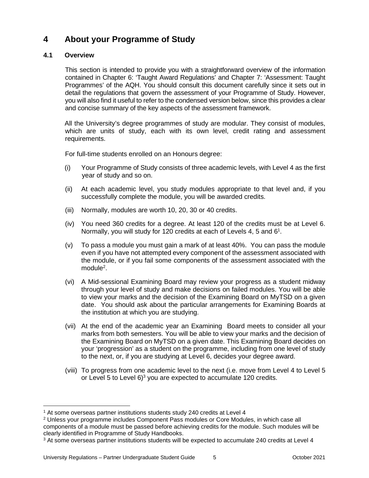# <span id="page-7-0"></span>**4 About your Programme of Study**

# <span id="page-7-1"></span>**4.1 Overview**

This section is intended to provide you with a straightforward overview of the information contained in Chapter 6: 'Taught Award Regulations' and Chapter 7: 'Assessment: Taught Programmes' of the AQH. You should consult this document carefully since it sets out in detail the regulations that govern the assessment of your Programme of Study. However, you will also find it useful to refer to the condensed version below, since this provides a clear and concise summary of the key aspects of the assessment framework.

All the University's degree programmes of study are modular. They consist of modules, which are units of study, each with its own level, credit rating and assessment requirements.

For full-time students enrolled on an Honours degree:

- (i) Your Programme of Study consists of three academic levels, with Level 4 as the first year of study and so on.
- (ii) At each academic level, you study modules appropriate to that level and, if you successfully complete the module, you will be awarded credits.
- (iii) Normally, modules are worth 10, 20, 30 or 40 credits.
- (iv) You need 360 credits for a degree. At least 120 of the credits must be at Level 6. Normally, you will study for 120 credits at each of Levels 4, 5 and 6<sup>1</sup>.
- (v) To pass a module you must gain a mark of at least 40%. You can pass the module even if you have not attempted every component of the assessment associated with the module, or if you fail some components of the assessment associated with the module<sup>2</sup>.
- (vi) A Mid-sessional Examining Board may review your progress as a student midway through your level of study and make decisions on failed modules. You will be able to view your marks and the decision of the Examining Board on MyTSD on a given date. You should ask about the particular arrangements for Examining Boards at the institution at which you are studying.
- (vii) At the end of the academic year an Examining Board meets to consider all your marks from both semesters. You will be able to view your marks and the decision of the Examining Board on MyTSD on a given date. This Examining Board decides on your 'progression' as a student on the programme, including from one level of study to the next, or, if you are studying at Level 6, decides your degree award.
- (viii) To progress from one academic level to the next (i.e. move from Level 4 to Level 5 or Level 5 to Level  $6)^3$  you are expected to accumulate 120 credits.

<sup>&</sup>lt;sup>1</sup> At some overseas partner institutions students study 240 credits at Level 4

<sup>2</sup> Unless your programme includes Component Pass modules or Core Modules, in which case all components of a module must be passed before achieving credits for the module. Such modules will be clearly identified in Programme of Study Handbooks.

<sup>3</sup> At some overseas partner institutions students will be expected to accumulate 240 credits at Level 4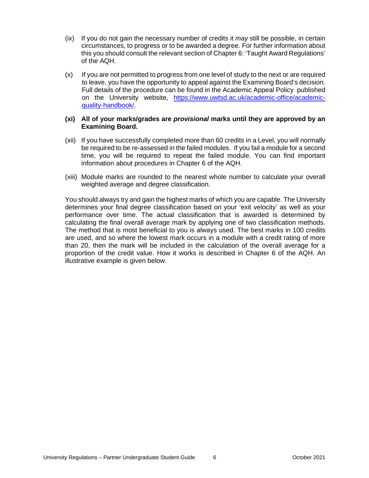- (ix) If you do not gain the necessary number of credits it *may* still be possible, in certain circumstances, to progress or to be awarded a degree. For further information about this you should consult the relevant section of Chapter 6: 'Taught Award Regulations' of the AQH.
- (x) If you are not permitted to progress from one level of study to the next or are required to leave, you have the opportunity to appeal against the Examining Board's decision. Full details of the procedure can be found in the Academic Appeal Policy published on the University website, [https://www.uwtsd.ac.uk/academic-office/academic](https://www.uwtsd.ac.uk/academic-office/academic-quality-handbook/)[quality-handbook/.](https://www.uwtsd.ac.uk/academic-office/academic-quality-handbook/)

#### **(xi) All of your marks/grades are** *provisional* **marks until they are approved by an Examining Board.**

- (xii) If you have successfully completed more than 60 credits in a Level, you will normally be required to be re-assessed in the failed modules. If you fail a module for a second time, you will be required to repeat the failed module. You can find important information about procedures in Chapter 6 of the AQH.
- (xiii) Module marks are rounded to the nearest whole number to calculate your overall weighted average and degree classification.

You should always try and gain the highest marks of which you are capable. The University determines your final degree classification based on your 'exit velocity' as well as your performance over time. The actual classification that is awarded is determined by calculating the final overall average mark by applying one of two classification methods. The method that is most beneficial to you is always used. The best marks in 100 credits are used, and so where the lowest mark occurs in a module with a credit rating of more than 20, then the mark will be included in the calculation of the overall average for a proportion of the credit value. How it works is described in Chapter 6 of the AQH. An illustrative example is given below.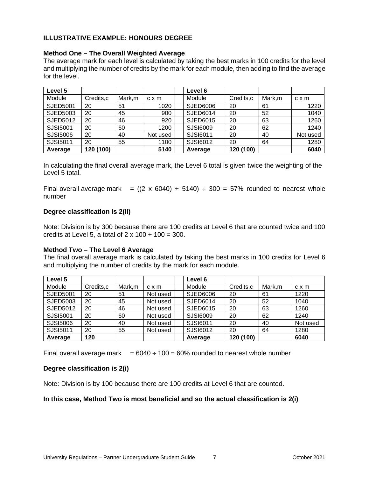# **ILLUSTRATIVE EXAMPLE: HONOURS DEGREE**

### **Method One – The Overall Weighted Average**

The average mark for each level is calculated by taking the best marks in 100 credits for the level and multiplying the number of credits by the mark for each module, then adding to find the average for the level.

| Level 5         |           |        |              | Level 6         |            |        |          |
|-----------------|-----------|--------|--------------|-----------------|------------|--------|----------|
| Module          | Credits,c | Mark,m | $c \times m$ | Module          | Credits, c | Mark,m | c x m    |
| <b>SJED5001</b> | 20        | 51     | 1020         | <b>SJED6006</b> | 20         | 61     | 1220     |
| SJED5003        | 20        | 45     | 900          | <b>SJED6014</b> | 20         | 52     | 1040     |
| SJED5012        | 20        | 46     | 920          | SJED6015        | 20         | 63     | 1260     |
| SJSI5001        | 20        | 60     | 1200         | SJSI6009        | 20         | 62     | 1240     |
| SJSI5006        | 20        | 40     | Not used     | SJSI6011        | 20         | 40     | Not used |
| SJSI5011        | 20        | 55     | 1100         | SJSI6012        | 20         | 64     | 1280     |
| Average         | 120 (100) |        | 5140         | Average         | 120 (100)  |        | 6040     |

In calculating the final overall average mark, the Level 6 total is given twice the weighting of the Level 5 total.

Final overall average mark =  $((2 \times 6040) + 5140) \div 300 = 57\%$  rounded to nearest whole number

### **Degree classification is 2(ii)**

Note: Division is by 300 because there are 100 credits at Level 6 that are counted twice and 100 credits at Level 5, a total of  $2 \times 100 + 100 = 300$ .

#### **Method Two – The Level 6 Average**

The final overall average mark is calculated by taking the best marks in 100 credits for Level 6 and multiplying the number of credits by the mark for each module.

| Level 5         |           |        |              | Level 6  |           |        |              |
|-----------------|-----------|--------|--------------|----------|-----------|--------|--------------|
| Module          | Credits,c | Mark,m | $c \times m$ | Module   | Credits,c | Mark,m | $c \times m$ |
| <b>SJED5001</b> | 20        | 51     | Not used     | SJED6006 | 20        | 61     | 1220         |
| SJED5003        | 20        | 45     | Not used     | SJED6014 | 20        | 52     | 1040         |
| SJED5012        | 20        | 46     | Not used     | SJED6015 | 20        | 63     | 1260         |
| SJSI5001        | 20        | 60     | Not used     | SJSI6009 | 20        | 62     | 1240         |
| SJSI5006        | 20        | 40     | Not used     | SJSI6011 | 20        | 40     | Not used     |
| SJSI5011        | 20        | 55     | Not used     | SJSI6012 | 20        | 64     | 1280         |
| Average         | 120       |        |              | Average  | 120 (100) |        | 6040         |

Final overall average mark  $= 6040 \div 100 = 60\%$  rounded to nearest whole number

#### **Degree classification is 2(i)**

Note: Division is by 100 because there are 100 credits at Level 6 that are counted.

#### **In this case, Method Two is most beneficial and so the actual classification is 2(i)**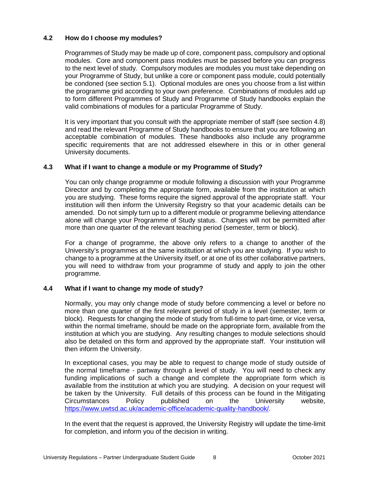# <span id="page-10-0"></span>**4.2 How do I choose my modules?**

Programmes of Study may be made up of core, component pass, compulsory and optional modules. Core and component pass modules must be passed before you can progress to the next level of study. Compulsory modules are modules you must take depending on your Programme of Study, but unlike a core or component pass module, could potentially be condoned (see section 5.1). Optional modules are ones you choose from a list within the programme grid according to your own preference. Combinations of modules add up to form different Programmes of Study and Programme of Study handbooks explain the valid combinations of modules for a particular Programme of Study.

It is very important that you consult with the appropriate member of staff (see section 4.8) and read the relevant Programme of Study handbooks to ensure that you are following an acceptable combination of modules. These handbooks also include any programme specific requirements that are not addressed elsewhere in this or in other general University documents.

# <span id="page-10-1"></span>**4.3 What if I want to change a module or my Programme of Study?**

You can only change programme or module following a discussion with your Programme Director and by completing the appropriate form, available from the institution at which you are studying. These forms require the signed approval of the appropriate staff. Your institution will then inform the University Registry so that your academic details can be amended. Do not simply turn up to a different module or programme believing attendance alone will change your Programme of Study status. Changes will not be permitted after more than one quarter of the relevant teaching period (semester, term or block).

For a change of programme, the above only refers to a change to another of the University's programmes at the same institution at which you are studying. If you wish to change to a programme at the University itself, or at one of its other collaborative partners, you will need to withdraw from your programme of study and apply to join the other programme.

# <span id="page-10-2"></span>**4.4 What if I want to change my mode of study?**

Normally, you may only change mode of study before commencing a level or before no more than one quarter of the first relevant period of study in a level (semester, term or block). Requests for changing the mode of study from full-time to part-time, or vice versa, within the normal timeframe, should be made on the appropriate form, available from the institution at which you are studying. Any resulting changes to module selections should also be detailed on this form and approved by the appropriate staff. Your institution will then inform the University.

In exceptional cases, you may be able to request to change mode of study outside of the normal timeframe - partway through a level of study. You will need to check any funding implications of such a change and complete the appropriate form which is available from the institution at which you are studying. A decision on your request will be taken by the University. Full details of this process can be found in the Mitigating Circumstances Policy published on the University website, [https://www.uwtsd.ac.uk/academic-office/academic-quality-handbook/.](https://www.uwtsd.ac.uk/academic-office/academic-quality-handbook/)

In the event that the request is approved, the University Registry will update the time-limit for completion, and inform you of the decision in writing.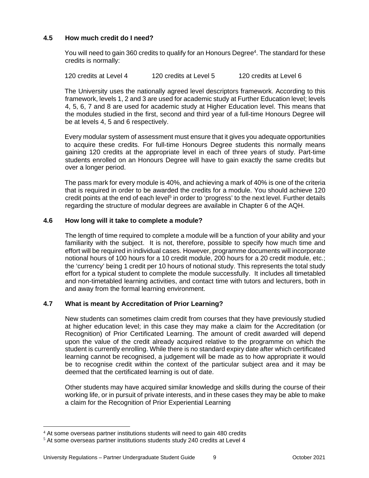# <span id="page-11-0"></span>**4.5 How much credit do I need?**

You will need to gain 360 credits to qualify for an Honours Degree<sup>4</sup>. The standard for these credits is normally:

120 credits at Level 4 120 credits at Level 5 120 credits at Level 6

The University uses the nationally agreed level descriptors framework. According to this framework, levels 1, 2 and 3 are used for academic study at Further Education level; levels 4, 5, 6, 7 and 8 are used for academic study at Higher Education level. This means that the modules studied in the first, second and third year of a full-time Honours Degree will be at levels 4, 5 and 6 respectively.

Every modular system of assessment must ensure that it gives you adequate opportunities to acquire these credits. For full-time Honours Degree students this normally means gaining 120 credits at the appropriate level in each of three years of study. Part-time students enrolled on an Honours Degree will have to gain exactly the same credits but over a longer period.

The pass mark for every module is 40%, and achieving a mark of 40% is one of the criteria that is required in order to be awarded the credits for a module. You should achieve 120 credit points at the end of each level<sup>5</sup> in order to 'progress' to the next level. Further details regarding the structure of modular degrees are available in Chapter 6 of the AQH.

# <span id="page-11-1"></span>**4.6 How long will it take to complete a module?**

The length of time required to complete a module will be a function of your ability and your familiarity with the subject. It is not, therefore, possible to specify how much time and effort will be required in individual cases. However, programme documents will incorporate notional hours of 100 hours for a 10 credit module, 200 hours for a 20 credit module, etc.; the 'currency' being 1 credit per 10 hours of notional study. This represents the total study effort for a typical student to complete the module successfully. It includes all timetabled and non-timetabled learning activities, and contact time with tutors and lecturers, both in and away from the formal learning environment.

# <span id="page-11-2"></span>**4.7 What is meant by Accreditation of Prior Learning?**

New students can sometimes claim credit from courses that they have previously studied at higher education level; in this case they may make a claim for the Accreditation (or Recognition) of Prior Certificated Learning. The amount of credit awarded will depend upon the value of the credit already acquired relative to the programme on which the student is currently enrolling. While there is no standard expiry date after which certificated learning cannot be recognised, a judgement will be made as to how appropriate it would be to recognise credit within the context of the particular subject area and it may be deemed that the certificated learning is out of date.

Other students may have acquired similar knowledge and skills during the course of their working life, or in pursuit of private interests, and in these cases they may be able to make a claim for the Recognition of Prior Experiential Learning

<sup>&</sup>lt;sup>4</sup> At some overseas partner institutions students will need to gain 480 credits

<sup>5</sup> At some overseas partner institutions students study 240 credits at Level 4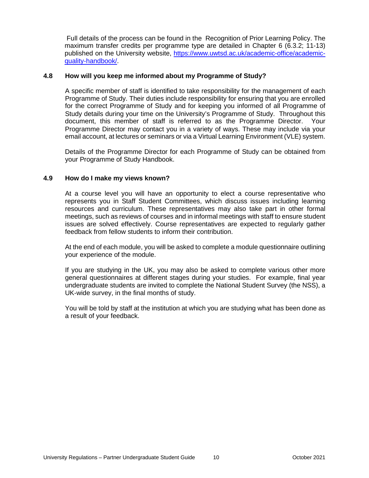Full details of the process can be found in the Recognition of Prior Learning Policy. The maximum transfer credits per programme type are detailed in Chapter 6 (6.3.2; 11-13) published on the University website, [https://www.uwtsd.ac.uk/academic-office/academic](https://www.uwtsd.ac.uk/academic-office/academic-quality-handbook/)[quality-handbook/.](https://www.uwtsd.ac.uk/academic-office/academic-quality-handbook/)

#### <span id="page-12-0"></span>**4.8 How will you keep me informed about my Programme of Study?**

A specific member of staff is identified to take responsibility for the management of each Programme of Study. Their duties include responsibility for ensuring that you are enrolled for the correct Programme of Study and for keeping you informed of all Programme of Study details during your time on the University's Programme of Study. Throughout this document, this member of staff is referred to as the Programme Director. Your Programme Director may contact you in a variety of ways. These may include via your email account, at lectures or seminars or via a Virtual Learning Environment (VLE) system.

Details of the Programme Director for each Programme of Study can be obtained from your Programme of Study Handbook.

#### <span id="page-12-1"></span>**4.9 How do I make my views known?**

At a course level you will have an opportunity to elect a course representative who represents you in Staff Student Committees, which discuss issues including learning resources and curriculum. These representatives may also take part in other formal meetings, such as reviews of courses and in informal meetings with staff to ensure student issues are solved effectively. Course representatives are expected to regularly gather feedback from fellow students to inform their contribution.

At the end of each module, you will be asked to complete a module questionnaire outlining your experience of the module.

If you are studying in the UK, you may also be asked to complete various other more general questionnaires at different stages during your studies. For example, final year undergraduate students are invited to complete the National Student Survey (the NSS), a UK-wide survey, in the final months of study.

You will be told by staff at the institution at which you are studying what has been done as a result of your feedback.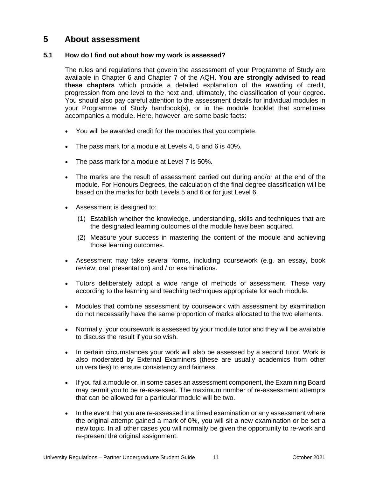# <span id="page-13-0"></span>**5 About assessment**

# <span id="page-13-1"></span>**5.1 How do I find out about how my work is assessed?**

The rules and regulations that govern the assessment of your Programme of Study are available in Chapter 6 and Chapter 7 of the AQH. **You are strongly advised to read these chapters** which provide a detailed explanation of the awarding of credit, progression from one level to the next and, ultimately, the classification of your degree. You should also pay careful attention to the assessment details for individual modules in your Programme of Study handbook(s), or in the module booklet that sometimes accompanies a module. Here, however, are some basic facts:

- You will be awarded credit for the modules that you complete.
- The pass mark for a module at Levels 4, 5 and 6 is 40%.
- The pass mark for a module at Level 7 is 50%.
- The marks are the result of assessment carried out during and/or at the end of the module. For Honours Degrees, the calculation of the final degree classification will be based on the marks for both Levels 5 and 6 or for just Level 6.
- Assessment is designed to:
	- (1) Establish whether the knowledge, understanding, skills and techniques that are the designated learning outcomes of the module have been acquired.
	- (2) Measure your success in mastering the content of the module and achieving those learning outcomes.
- Assessment may take several forms, including coursework (e.g. an essay, book review, oral presentation) and / or examinations.
- Tutors deliberately adopt a wide range of methods of assessment. These vary according to the learning and teaching techniques appropriate for each module.
- Modules that combine assessment by coursework with assessment by examination do not necessarily have the same proportion of marks allocated to the two elements.
- Normally, your coursework is assessed by your module tutor and they will be available to discuss the result if you so wish.
- In certain circumstances your work will also be assessed by a second tutor. Work is also moderated by External Examiners (these are usually academics from other universities) to ensure consistency and fairness.
- If you fail a module or, in some cases an assessment component, the Examining Board may permit you to be re-assessed. The maximum number of re-assessment attempts that can be allowed for a particular module will be two.
- In the event that you are re-assessed in a timed examination or any assessment where the original attempt gained a mark of 0%, you will sit a new examination or be set a new topic. In all other cases you will normally be given the opportunity to re-work and re-present the original assignment.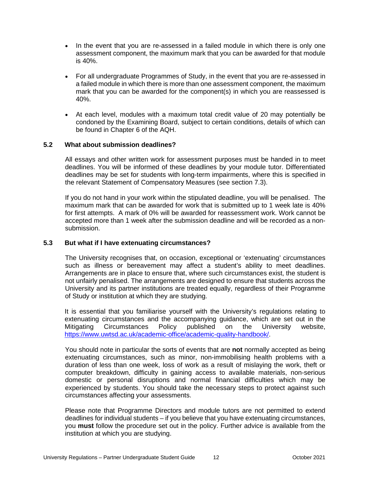- In the event that you are re-assessed in a failed module in which there is only one assessment component, the maximum mark that you can be awarded for that module is 40%.
- For all undergraduate Programmes of Study, in the event that you are re-assessed in a failed module in which there is more than one assessment component, the maximum mark that you can be awarded for the component(s) in which you are reassessed is 40%.
- At each level, modules with a maximum total credit value of 20 may potentially be condoned by the Examining Board, subject to certain conditions, details of which can be found in Chapter 6 of the AQH.

#### <span id="page-14-0"></span>**5.2 What about submission deadlines?**

All essays and other written work for assessment purposes must be handed in to meet deadlines. You will be informed of these deadlines by your module tutor. Differentiated deadlines may be set for students with long-term impairments, where this is specified in the relevant Statement of Compensatory Measures (see section 7.3).

If you do not hand in your work within the stipulated deadline, you will be penalised. The maximum mark that can be awarded for work that is submitted up to 1 week late is 40% for first attempts. A mark of 0% will be awarded for reassessment work. Work cannot be accepted more than 1 week after the submission deadline and will be recorded as a nonsubmission.

#### <span id="page-14-1"></span>**5.3 But what if I have extenuating circumstances?**

The University recognises that, on occasion, exceptional or 'extenuating' circumstances such as illness or bereavement may affect a student's ability to meet deadlines. Arrangements are in place to ensure that, where such circumstances exist, the student is not unfairly penalised. The arrangements are designed to ensure that students across the University and its partner institutions are treated equally, regardless of their Programme of Study or institution at which they are studying.

It is essential that you familiarise yourself with the University's regulations relating to extenuating circumstances and the accompanying guidance, which are set out in the Mitigating Circumstances Policy published on the University website, [https://www.uwtsd.ac.uk/academic-office/academic-quality-handbook/.](https://www.uwtsd.ac.uk/academic-office/academic-quality-handbook/)

You should note in particular the sorts of events that are **not** normally accepted as being extenuating circumstances, such as minor, non-immobilising health problems with a duration of less than one week, loss of work as a result of mislaying the work, theft or computer breakdown, difficulty in gaining access to available materials, non-serious domestic or personal disruptions and normal financial difficulties which may be experienced by students. You should take the necessary steps to protect against such circumstances affecting your assessments.

Please note that Programme Directors and module tutors are not permitted to extend deadlines for individual students – if you believe that you have extenuating circumstances, you **must** follow the procedure set out in the policy. Further advice is available from the institution at which you are studying.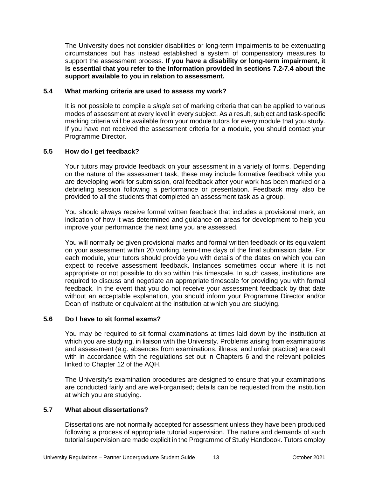The University does not consider disabilities or long-term impairments to be extenuating circumstances but has instead established a system of compensatory measures to support the assessment process. **If you have a disability or long-term impairment, it is essential that you refer to the information provided in sections 7.2-7.4 about the support available to you in relation to assessment.**

## <span id="page-15-0"></span>**5.4 What marking criteria are used to assess my work?**

It is not possible to compile a *single* set of marking criteria that can be applied to various modes of assessment at every level in every subject. As a result, subject and task-specific marking criteria will be available from your module tutors for every module that you study. If you have not received the assessment criteria for a module, you should contact your Programme Director.

# <span id="page-15-1"></span>**5.5 How do I get feedback?**

Your tutors may provide feedback on your assessment in a variety of forms. Depending on the nature of the assessment task, these may include formative feedback while you are developing work for submission, oral feedback after your work has been marked or a debriefing session following a performance or presentation. Feedback may also be provided to all the students that completed an assessment task as a group.

You should always receive formal written feedback that includes a provisional mark, an indication of how it was determined and guidance on areas for development to help you improve your performance the next time you are assessed.

You will normally be given provisional marks and formal written feedback or its equivalent on your assessment within 20 working, term-time days of the final submission date. For each module, your tutors should provide you with details of the dates on which you can expect to receive assessment feedback. Instances sometimes occur where it is not appropriate or not possible to do so within this timescale. In such cases, institutions are required to discuss and negotiate an appropriate timescale for providing you with formal feedback. In the event that you do not receive your assessment feedback by that date without an acceptable explanation, you should inform your Programme Director and/or Dean of Institute or equivalent at the institution at which you are studying.

#### <span id="page-15-2"></span>**5.6 Do I have to sit formal exams?**

You may be required to sit formal examinations at times laid down by the institution at which you are studying, in liaison with the University. Problems arising from examinations and assessment (e.g. absences from examinations, illness, and unfair practice) are dealt with in accordance with the regulations set out in Chapters 6 and the relevant policies linked to Chapter 12 of the AQH.

The University's examination procedures are designed to ensure that your examinations are conducted fairly and are well-organised; details can be requested from the institution at which you are studying.

#### <span id="page-15-3"></span>**5.7 What about dissertations?**

Dissertations are not normally accepted for assessment unless they have been produced following a process of appropriate tutorial supervision. The nature and demands of such tutorial supervision are made explicit in the Programme of Study Handbook. Tutors employ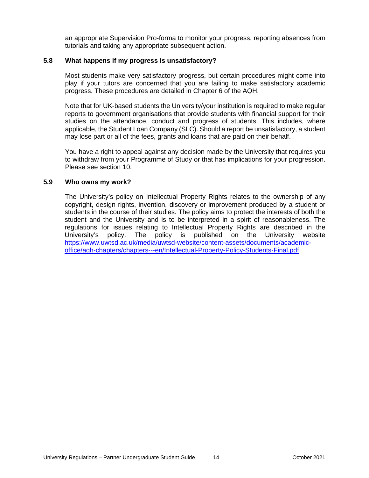an appropriate Supervision Pro-forma to monitor your progress, reporting absences from tutorials and taking any appropriate subsequent action.

#### <span id="page-16-0"></span>**5.8 What happens if my progress is unsatisfactory?**

Most students make very satisfactory progress, but certain procedures might come into play if your tutors are concerned that you are failing to make satisfactory academic progress. These procedures are detailed in Chapter 6 of the AQH.

Note that for UK-based students the University/your institution is required to make regular reports to government organisations that provide students with financial support for their studies on the attendance, conduct and progress of students. This includes, where applicable, the Student Loan Company (SLC). Should a report be unsatisfactory, a student may lose part or all of the fees, grants and loans that are paid on their behalf.

You have a right to appeal against any decision made by the University that requires you to withdraw from your Programme of Study or that has implications for your progression. Please see section 10.

### <span id="page-16-1"></span>**5.9 Who owns my work?**

The University's policy on Intellectual Property Rights relates to the ownership of any copyright, design rights, invention, discovery or improvement produced by a student or students in the course of their studies. The policy aims to protect the interests of both the student and the University and is to be interpreted in a spirit of reasonableness. The regulations for issues relating to Intellectual Property Rights are described in the University's policy. The policy is published on the University website [https://www.uwtsd.ac.uk/media/uwtsd-website/content-assets/documents/academic](https://www.uwtsd.ac.uk/media/uwtsd-website/content-assets/documents/academic-office/aqh-chapters/chapters---en/Intellectual-Property-Policy-Students-Final.pdf)[office/aqh-chapters/chapters---en/Intellectual-Property-Policy-Students-Final.pdf](https://www.uwtsd.ac.uk/media/uwtsd-website/content-assets/documents/academic-office/aqh-chapters/chapters---en/Intellectual-Property-Policy-Students-Final.pdf)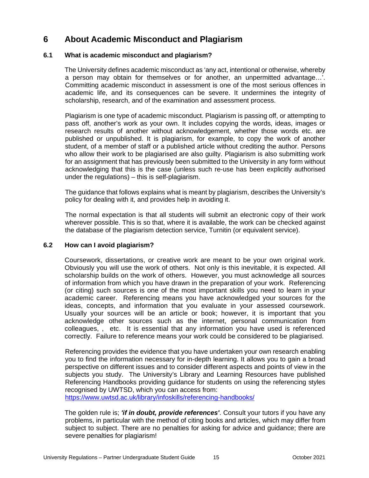# <span id="page-17-0"></span>**6 About Academic Misconduct and Plagiarism**

# <span id="page-17-1"></span>**6.1 What is academic misconduct and plagiarism?**

The University defines academic misconduct as 'any act, intentional or otherwise, whereby a person may obtain for themselves or for another, an unpermitted advantage…'. Committing academic misconduct in assessment is one of the most serious offences in academic life, and its consequences can be severe. It undermines the integrity of scholarship, research, and of the examination and assessment process.

Plagiarism is one type of academic misconduct. Plagiarism is passing off, or attempting to pass off, another's work as your own. It includes copying the words, ideas, images or research results of another without acknowledgement, whether those words etc. are published or unpublished. It is plagiarism, for example, to copy the work of another student, of a member of staff or a published article without crediting the author. Persons who allow their work to be plagiarised are also guilty. Plagiarism is also submitting work for an assignment that has previously been submitted to the University in any form without acknowledging that this is the case (unless such re-use has been explicitly authorised under the regulations) – this is self-plagiarism.

The guidance that follows explains what is meant by plagiarism, describes the University's policy for dealing with it, and provides help in avoiding it.

The normal expectation is that all students will submit an electronic copy of their work wherever possible. This is so that, where it is available, the work can be checked against the database of the plagiarism detection service, Turnitin (or equivalent service).

# <span id="page-17-2"></span>**6.2 How can I avoid plagiarism?**

Coursework, dissertations, or creative work are meant to be your own original work. Obviously you will use the work of others. Not only is this inevitable, it is expected. All scholarship builds on the work of others. However, you must acknowledge all sources of information from which you have drawn in the preparation of your work. Referencing (or citing) such sources is one of the most important skills you need to learn in your academic career. Referencing means you have acknowledged your sources for the ideas, concepts, and information that you evaluate in your assessed coursework. Usually your sources will be an article or book; however, it is important that you acknowledge other sources such as the internet, personal communication from colleagues, , etc. It is essential that any information you have used is referenced correctly. Failure to reference means your work could be considered to be plagiarised.

Referencing provides the evidence that you have undertaken your own research enabling you to find the information necessary for in-depth learning. It allows you to gain a broad perspective on different issues and to consider different aspects and points of view in the subjects you study. The University's Library and Learning Resources have published Referencing Handbooks providing guidance for students on using the referencing styles recognised by UWTSD, which you can access from:

<https://www.uwtsd.ac.uk/library/infoskills/referencing-handbooks/>

The golden rule is; *'if in doubt, provide references'*. Consult your tutors if you have any problems, in particular with the method of citing books and articles, which may differ from subject to subject. There are no penalties for asking for advice and guidance; there are severe penalties for plagiarism!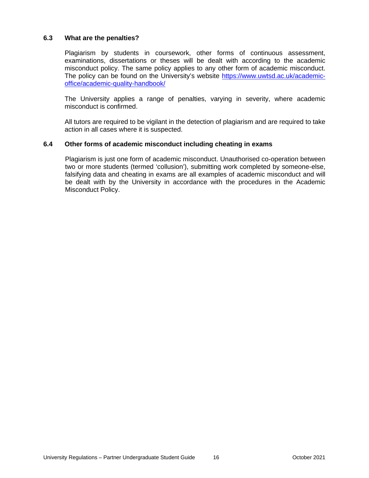### <span id="page-18-0"></span>**6.3 What are the penalties?**

Plagiarism by students in coursework, other forms of continuous assessment, examinations, dissertations or theses will be dealt with according to the academic misconduct policy. The same policy applies to any other form of academic misconduct. The policy can be found on the University's website [https://www.uwtsd.ac.uk/academic](https://www.uwtsd.ac.uk/academic-office/academic-quality-handbook/)[office/academic-quality-handbook/](https://www.uwtsd.ac.uk/academic-office/academic-quality-handbook/)

The University applies a range of penalties, varying in severity, where academic misconduct is confirmed.

All tutors are required to be vigilant in the detection of plagiarism and are required to take action in all cases where it is suspected.

#### <span id="page-18-1"></span>**6.4 Other forms of academic misconduct including cheating in exams**

Plagiarism is just one form of academic misconduct. Unauthorised co-operation between two or more students (termed 'collusion'), submitting work completed by someone-else, falsifying data and cheating in exams are all examples of academic misconduct and will be dealt with by the University in accordance with the procedures in the Academic Misconduct Policy.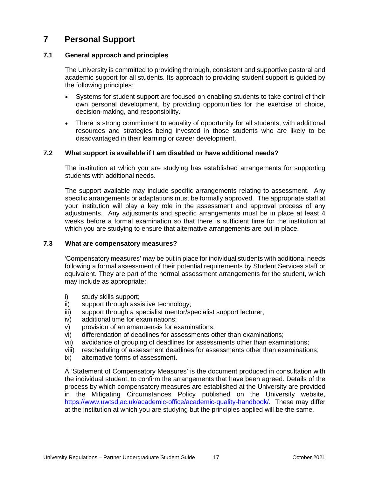# <span id="page-19-0"></span>**7 Personal Support**

# <span id="page-19-1"></span>**7.1 General approach and principles**

The University is committed to providing thorough, consistent and supportive pastoral and academic support for all students. Its approach to providing student support is guided by the following principles:

- Systems for student support are focused on enabling students to take control of their own personal development, by providing opportunities for the exercise of choice, decision-making, and responsibility.
- There is strong commitment to equality of opportunity for all students, with additional resources and strategies being invested in those students who are likely to be disadvantaged in their learning or career development.

# <span id="page-19-2"></span>**7.2 What support is available if I am disabled or have additional needs?**

The institution at which you are studying has established arrangements for supporting students with additional needs.

The support available may include specific arrangements relating to assessment. Any specific arrangements or adaptations must be formally approved. The appropriate staff at your institution will play a key role in the assessment and approval process of any adjustments. Any adjustments and specific arrangements must be in place at least 4 weeks before a formal examination so that there is sufficient time for the institution at which you are studying to ensure that alternative arrangements are put in place.

#### <span id="page-19-3"></span>**7.3 What are compensatory measures?**

'Compensatory measures' may be put in place for individual students with additional needs following a formal assessment of their potential requirements by Student Services staff or equivalent. They are part of the normal assessment arrangements for the student, which may include as appropriate:

- i) study skills support;
- ii) support through assistive technology;
- iii) support through a specialist mentor/specialist support lecturer;
- iv) additional time for examinations;
- v) provision of an amanuensis for examinations;
- vi) differentiation of deadlines for assessments other than examinations;
- vii) avoidance of grouping of deadlines for assessments other than examinations;
- viii) rescheduling of assessment deadlines for assessments other than examinations;
- ix) alternative forms of assessment.

A 'Statement of Compensatory Measures' is the document produced in consultation with the individual student, to confirm the arrangements that have been agreed. Details of the process by which compensatory measures are established at the University are provided in the Mitigating Circumstances Policy published on the University website, [https://www.uwtsd.ac.uk/academic-office/academic-quality-handbook/.](https://www.uwtsd.ac.uk/academic-office/academic-quality-handbook/) These may differ at the institution at which you are studying but the principles applied will be the same.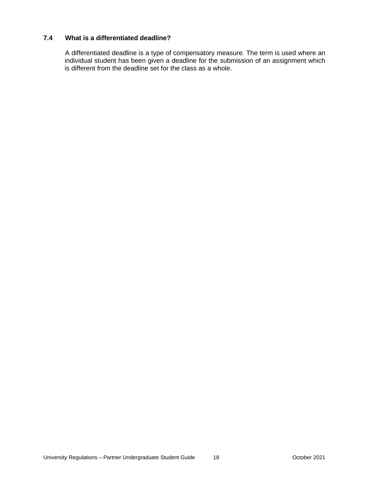# <span id="page-20-0"></span>**7.4 What is a differentiated deadline?**

A differentiated deadline is a type of compensatory measure. The term is used where an individual student has been given a deadline for the submission of an assignment which is different from the deadline set for the class as a whole.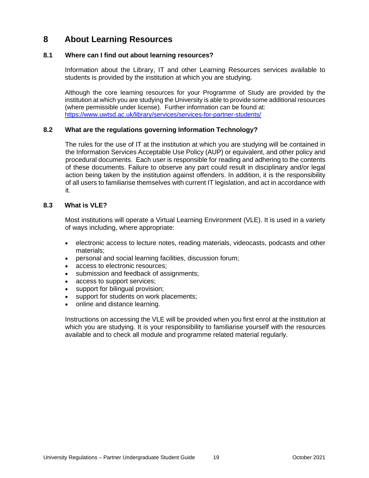# <span id="page-21-0"></span>**8 About Learning Resources**

# <span id="page-21-1"></span>**8.1 Where can I find out about learning resources?**

Information about the Library, IT and other Learning Resources services available to students is provided by the institution at which you are studying.

Although the core learning resources for your Programme of Study are provided by the institution at which you are studying the University is able to provide some additional resources (where permissible under license). Further information can be found at: <https://www.uwtsd.ac.uk/library/services/services-for-partner-students/>

# <span id="page-21-2"></span>**8.2 What are the regulations governing Information Technology?**

The rules for the use of IT at the institution at which you are studying will be contained in the Information Services Acceptable Use Policy (AUP) or equivalent, and other policy and procedural documents. Each user is responsible for reading and adhering to the contents of these documents. Failure to observe any part could result in disciplinary and/or legal action being taken by the institution against offenders. In addition, it is the responsibility of all users to familiarise themselves with current IT legislation, and act in accordance with it.

### <span id="page-21-3"></span>**8.3 What is VLE?**

Most institutions will operate a Virtual Learning Environment (VLE). It is used in a variety of ways including, where appropriate:

- electronic access to lecture notes, reading materials, videocasts, podcasts and other materials;
- personal and social learning facilities, discussion forum;
- access to electronic resources;
- submission and feedback of assignments;
- access to support services;
- support for bilingual provision;
- support for students on work placements;
- online and distance learning.

Instructions on accessing the VLE will be provided when you first enrol at the institution at which you are studying. It is your responsibility to familiarise yourself with the resources available and to check all module and programme related material regularly.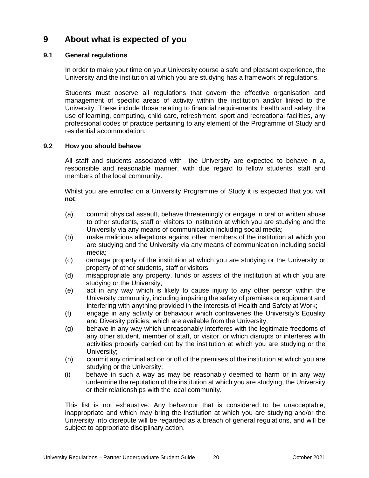# <span id="page-22-0"></span>**9 About what is expected of you**

# <span id="page-22-1"></span>**9.1 General regulations**

In order to make your time on your University course a safe and pleasant experience, the University and the institution at which you are studying has a framework of regulations.

Students must observe all regulations that govern the effective organisation and management of specific areas of activity within the institution and/or linked to the University. These include those relating to financial requirements, health and safety, the use of learning, computing, child care, refreshment, sport and recreational facilities, any professional codes of practice pertaining to any element of the Programme of Study and residential accommodation.

# <span id="page-22-2"></span>**9.2 How you should behave**

All staff and students associated with the University are expected to behave in a, responsible and reasonable manner, with due regard to fellow students, staff and members of the local community.

Whilst you are enrolled on a University Programme of Study it is expected that you will **not**:

- (a) commit physical assault, behave threateningly or engage in oral or written abuse to other students, staff or visitors to institution at which you are studying and the University via any means of communication including social media;
- (b) make malicious allegations against other members of the institution at which you are studying and the University via any means of communication including social media;
- (c) damage property of the institution at which you are studying or the University or property of other students, staff or visitors;
- (d) misappropriate any property, funds or assets of the institution at which you are studying or the University;
- (e) act in any way which is likely to cause injury to any other person within the University community, including impairing the safety of premises or equipment and interfering with anything provided in the interests of Health and Safety at Work;
- (f) engage in any activity or behaviour which contravenes the University's Equality and Diversity policies, which are available from the University;
- (g) behave in any way which unreasonably interferes with the legitimate freedoms of any other student, member of staff, or visitor, or which disrupts or interferes with activities properly carried out by the institution at which you are studying or the University;
- (h) commit any criminal act on or off of the premises of the institution at which you are studying or the University;
- (i) behave in such a way as may be reasonably deemed to harm or in any way undermine the reputation of the institution at which you are studying, the University or their relationships with the local community.

This list is not exhaustive. Any behaviour that is considered to be unacceptable, inappropriate and which may bring the institution at which you are studying and/or the University into disrepute will be regarded as a breach of general regulations, and will be subject to appropriate disciplinary action.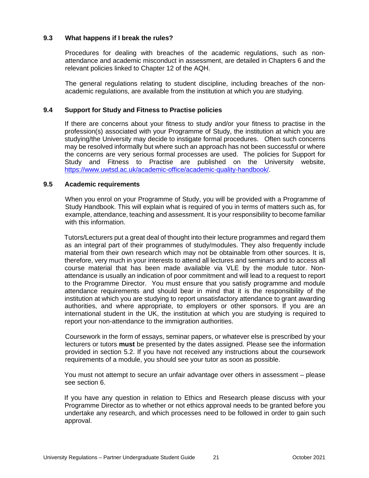## <span id="page-23-0"></span>**9.3 What happens if I break the rules?**

Procedures for dealing with breaches of the academic regulations, such as nonattendance and academic misconduct in assessment, are detailed in Chapters 6 and the relevant policies linked to Chapter 12 of the AQH.

The general regulations relating to student discipline, including breaches of the nonacademic regulations, are available from the institution at which you are studying.

### <span id="page-23-1"></span>**9.4 Support for Study and Fitness to Practise policies**

If there are concerns about your fitness to study and/or your fitness to practise in the profession(s) associated with your Programme of Study, the institution at which you are studying/the University may decide to instigate formal procedures. Often such concerns may be resolved informally but where such an approach has not been successful or where the concerns are very serious formal processes are used. The policies for Support for Study and Fitness to Practise are published on the University website, [https://www.uwtsd.ac.uk/academic-office/academic-quality-handbook/.](https://www.uwtsd.ac.uk/academic-office/academic-quality-handbook/)

#### <span id="page-23-2"></span>**9.5 Academic requirements**

When you enrol on your Programme of Study, you will be provided with a Programme of Study Handbook. This will explain what is required of you in terms of matters such as, for example, attendance, teaching and assessment. It is your responsibility to become familiar with this information.

Tutors/Lecturers put a great deal of thought into their lecture programmes and regard them as an integral part of their programmes of study/modules. They also frequently include material from their own research which may not be obtainable from other sources. It is, therefore, very much in your interests to attend all lectures and seminars and to access all course material that has been made available via VLE by the module tutor. Nonattendance is usually an indication of poor commitment and will lead to a request to report to the Programme Director. You must ensure that you satisfy programme and module attendance requirements and should bear in mind that it is the responsibility of the institution at which you are studying to report unsatisfactory attendance to grant awarding authorities, and where appropriate, to employers or other sponsors. If you are an international student in the UK, the institution at which you are studying is required to report your non-attendance to the immigration authorities.

Coursework in the form of essays, seminar papers, or whatever else is prescribed by your lecturers or tutors **must** be presented by the dates assigned. Please see the information provided in section 5.2. If you have not received any instructions about the coursework requirements of a module, you should see your tutor as soon as possible.

You must not attempt to secure an unfair advantage over others in assessment – please see section 6.

If you have any question in relation to Ethics and Research please discuss with your Programme Director as to whether or not ethics approval needs to be granted before you undertake any research, and which processes need to be followed in order to gain such approval.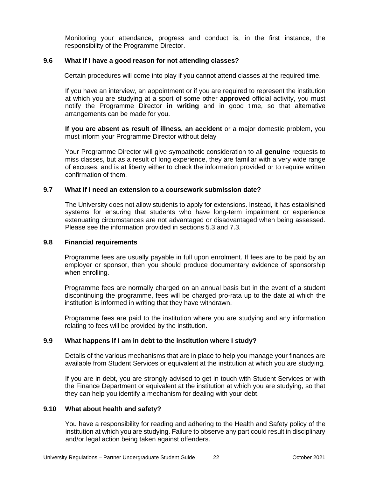Monitoring your attendance, progress and conduct is, in the first instance, the responsibility of the Programme Director.

#### <span id="page-24-0"></span>**9.6 What if I have a good reason for not attending classes?**

Certain procedures will come into play if you cannot attend classes at the required time.

If you have an interview, an appointment or if you are required to represent the institution at which you are studying at a sport of some other **approved** official activity, you must notify the Programme Director **in writing** and in good time, so that alternative arrangements can be made for you.

**If you are absent as result of illness, an accident** or a major domestic problem, you must inform your Programme Director without delay

Your Programme Director will give sympathetic consideration to all **genuine** requests to miss classes, but as a result of long experience, they are familiar with a very wide range of excuses, and is at liberty either to check the information provided or to require written confirmation of them.

#### <span id="page-24-1"></span>**9.7 What if I need an extension to a coursework submission date?**

The University does not allow students to apply for extensions. Instead, it has established systems for ensuring that students who have long-term impairment or experience extenuating circumstances are not advantaged or disadvantaged when being assessed. Please see the information provided in sections 5.3 and 7.3.

#### <span id="page-24-2"></span>**9.8 Financial requirements**

Programme fees are usually payable in full upon enrolment. If fees are to be paid by an employer or sponsor, then you should produce documentary evidence of sponsorship when enrolling.

Programme fees are normally charged on an annual basis but in the event of a student discontinuing the programme, fees will be charged pro-rata up to the date at which the institution is informed in writing that they have withdrawn.

Programme fees are paid to the institution where you are studying and any information relating to fees will be provided by the institution.

## <span id="page-24-3"></span>**9.9 What happens if I am in debt to the institution where I study?**

Details of the various mechanisms that are in place to help you manage your finances are available from Student Services or equivalent at the institution at which you are studying.

If you are in debt, you are strongly advised to get in touch with Student Services or with the Finance Department or equivalent at the institution at which you are studying, so that they can help you identify a mechanism for dealing with your debt.

#### <span id="page-24-4"></span>**9.10 What about health and safety?**

You have a responsibility for reading and adhering to the Health and Safety policy of the institution at which you are studying. Failure to observe any part could result in disciplinary and/or legal action being taken against offenders.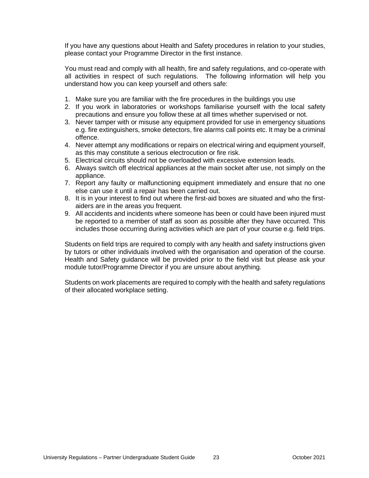If you have any questions about Health and Safety procedures in relation to your studies, please contact your Programme Director in the first instance.

You must read and comply with all health, fire and safety regulations, and co-operate with all activities in respect of such regulations. The following information will help you understand how you can keep yourself and others safe:

- 1. Make sure you are familiar with the fire procedures in the buildings you use
- 2. If you work in laboratories or workshops familiarise yourself with the local safety precautions and ensure you follow these at all times whether supervised or not.
- 3. Never tamper with or misuse any equipment provided for use in emergency situations e.g. fire extinguishers, smoke detectors, fire alarms call points etc. It may be a criminal offence.
- 4. Never attempt any modifications or repairs on electrical wiring and equipment yourself, as this may constitute a serious electrocution or fire risk.
- 5. Electrical circuits should not be overloaded with excessive extension leads.
- 6. Always switch off electrical appliances at the main socket after use, not simply on the appliance.
- 7. Report any faulty or malfunctioning equipment immediately and ensure that no one else can use it until a repair has been carried out.
- 8. It is in your interest to find out where the first-aid boxes are situated and who the firstaiders are in the areas you frequent.
- 9. All accidents and incidents where someone has been or could have been injured must be reported to a member of staff as soon as possible after they have occurred. This includes those occurring during activities which are part of your course e.g. field trips.

Students on field trips are required to comply with any health and safety instructions given by tutors or other individuals involved with the organisation and operation of the course. Health and Safety guidance will be provided prior to the field visit but please ask your module tutor/Programme Director if you are unsure about anything.

Students on work placements are required to comply with the health and safety regulations of their allocated workplace setting.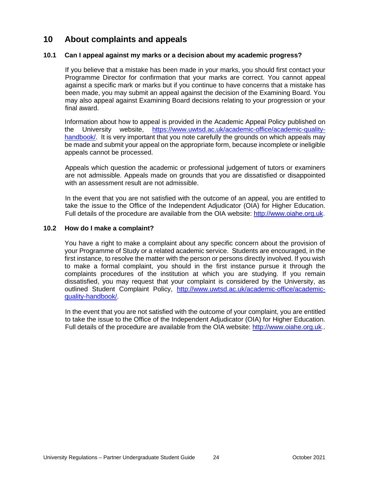# <span id="page-26-0"></span>**10 About complaints and appeals**

# <span id="page-26-1"></span>**10.1 Can I appeal against my marks or a decision about my academic progress?**

If you believe that a mistake has been made in your marks, you should first contact your Programme Director for confirmation that your marks are correct. You cannot appeal against a specific mark or marks but if you continue to have concerns that a mistake has been made, you may submit an appeal against the decision of the Examining Board. You may also appeal against Examining Board decisions relating to your progression or your final award.

Information about how to appeal is provided in the Academic Appeal Policy published on the University website, [https://www.uwtsd.ac.uk/academic-office/academic-quality](https://www.uwtsd.ac.uk/academic-office/academic-quality-handbook/)handbook. It is very important that you note carefully the grounds on which appeals may be made and submit your appeal on the appropriate form, because incomplete or ineligible appeals cannot be processed.

Appeals which question the academic or professional judgement of tutors or examiners are not admissible. Appeals made on grounds that you are dissatisfied or disappointed with an assessment result are not admissible.

In the event that you are not satisfied with the outcome of an appeal, you are entitled to take the issue to the Office of the Independent Adjudicator (OIA) for Higher Education. Full details of the procedure are available from the OIA website: [http://www.oiahe.org.uk.](http://www.oiahe.org.uk/)

#### <span id="page-26-2"></span>**10.2 How do I make a complaint?**

You have a right to make a complaint about any specific concern about the provision of your Programme of Study or a related academic service. Students are encouraged, in the first instance, to resolve the matter with the person or persons directly involved. If you wish to make a formal complaint, you should in the first instance pursue it through the complaints procedures of the institution at which you are studying. If you remain dissatisfied, you may request that your complaint is considered by the University, as outlined Student Complaint Policy, [http://www.uwtsd.ac.uk/academic-office/academic](http://www.uwtsd.ac.uk/academic-office/academic-quality-handbook/)[quality-handbook/.](http://www.uwtsd.ac.uk/academic-office/academic-quality-handbook/)

In the event that you are not satisfied with the outcome of your complaint, you are entitled to take the issue to the Office of the Independent Adjudicator (OIA) for Higher Education. Full details of the procedure are available from the OIA website: [http://www.oiahe.org.uk.](http://www.oiahe.org.uk/).